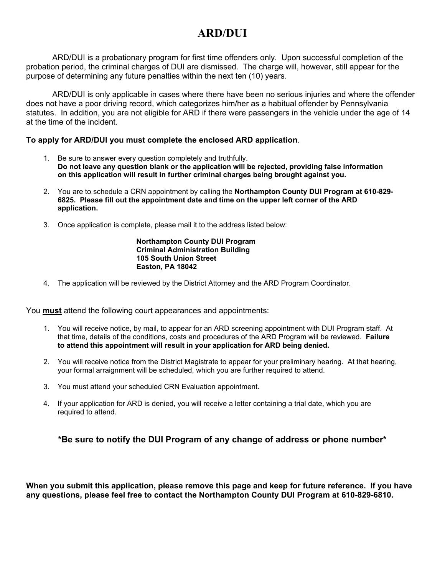# **ARD/DUI**

ARD/DUI is a probationary program for first time offenders only. Upon successful completion of the probation period, the criminal charges of DUI are dismissed. The charge will, however, still appear for the purpose of determining any future penalties within the next ten (10) years.

 ARD/DUI is only applicable in cases where there have been no serious injuries and where the offender does not have a poor driving record, which categorizes him/her as a habitual offender by Pennsylvania statutes. In addition, you are not eligible for ARD if there were passengers in the vehicle under the age of 14 at the time of the incident.

#### **To apply for ARD/DUI you must complete the enclosed ARD application**.

- 1. Be sure to answer every question completely and truthfully. **Do not leave any question blank or the application will be rejected, providing false information on this application will result in further criminal charges being brought against you.**
- 2. You are to schedule a CRN appointment by calling the **Northampton County DUI Program at 610-829- 6825. Please fill out the appointment date and time on the upper left corner of the ARD application.**
- 3. Once application is complete, please mail it to the address listed below:

#### **Northampton County DUI Program Criminal Administration Building 105 South Union Street Easton, PA 18042**

4. The application will be reviewed by the District Attorney and the ARD Program Coordinator.

You **must** attend the following court appearances and appointments:

- 1. You will receive notice, by mail, to appear for an ARD screening appointment with DUI Program staff. At that time, details of the conditions, costs and procedures of the ARD Program will be reviewed. **Failure to attend this appointment will result in your application for ARD being denied.**
- 2. You will receive notice from the District Magistrate to appear for your preliminary hearing. At that hearing, your formal arraignment will be scheduled, which you are further required to attend.
- 3. You must attend your scheduled CRN Evaluation appointment.
- 4. If your application for ARD is denied, you will receive a letter containing a trial date, which you are required to attend.

### **\*Be sure to notify the DUI Program of any change of address or phone number\***

**When you submit this application, please remove this page and keep for future reference. If you have any questions, please feel free to contact the Northampton County DUI Program at 610-829-6810.**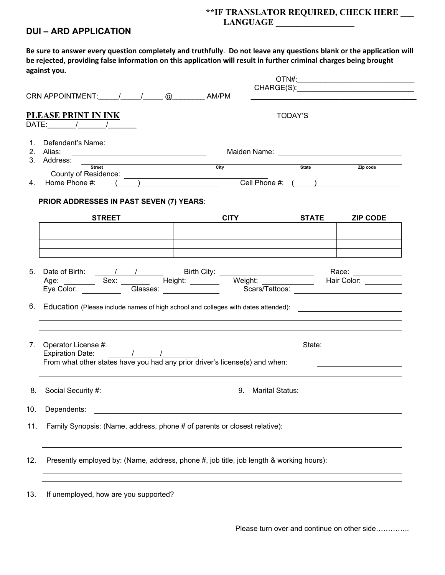# **\*\*IF TRANSLATOR REQUIRED, CHECK HERE \_\_\_**

## **LANGUAGE \_\_\_\_\_\_\_\_\_\_\_\_\_\_\_\_\_\_**

### **DUI – ARD APPLICATION**

**Be sure to answer every question completely and truthfully**. **Do not leave any questions blank or the application will be rejected, providing false information on this application will result in further criminal charges being brought against you.**

| CRN APPOINTMENT: 1 1 2 2 CLOUD AM/PM                                                                                                                                              |                                                                                                                                                                                                                                      |                   |                                                                                                                                                                                                                                                                             |  |  |
|-----------------------------------------------------------------------------------------------------------------------------------------------------------------------------------|--------------------------------------------------------------------------------------------------------------------------------------------------------------------------------------------------------------------------------------|-------------------|-----------------------------------------------------------------------------------------------------------------------------------------------------------------------------------------------------------------------------------------------------------------------------|--|--|
| PLEASE PRINT IN INK<br>$\overline{\text{DATE}}:$ $\overline{\phantom{a}1\phantom{a}}$ $\overline{\phantom{a}1\phantom{a}}$                                                        |                                                                                                                                                                                                                                      | TODAY'S           |                                                                                                                                                                                                                                                                             |  |  |
| Defendant's Name:<br>1.<br><u> 1989 - Jan Stein Stein Stein Stein Stein Stein Stein Stein Stein Stein Stein Stein Stein Stein Stein Stein S</u><br>2. Alias:<br>3. Address: _____ | Maiden Name: <u>Name: Name: Name of American Name of American Name of American Name of American Name of American</u>                                                                                                                 |                   |                                                                                                                                                                                                                                                                             |  |  |
| <b>Street</b><br>County of Residence:<br>4. Home Phone #: ( )                                                                                                                     | <u>city</u> City State State                                                                                                                                                                                                         | Cell Phone #: ( ) | Zip code                                                                                                                                                                                                                                                                    |  |  |
| <b>PRIOR ADDRESSES IN PAST SEVEN (7) YEARS:</b><br><b>STREET</b>                                                                                                                  |                                                                                                                                                                                                                                      | <b>STATE</b>      | <b>ZIP CODE</b>                                                                                                                                                                                                                                                             |  |  |
|                                                                                                                                                                                   |                                                                                                                                                                                                                                      |                   |                                                                                                                                                                                                                                                                             |  |  |
| 6. Education (Please include names of high school and colleges with dates attended): [14] Equipment Connection                                                                    |                                                                                                                                                                                                                                      |                   |                                                                                                                                                                                                                                                                             |  |  |
| 7.<br>$\frac{1}{2}$ Expiration Date: $\frac{1}{2}$ $\frac{1}{2}$<br>From what other states have you had any prior driver's license(s) and when:                                   |                                                                                                                                                                                                                                      |                   | State: <u>_____________________</u><br><u> 1989 - Johann Stoff, deutscher Stoffen und der Stoffen und der Stoffen und der Stoffen und der Stoffen und der Stoffen und der Stoffen und der Stoffen und der Stoffen und der Stoffen und der Stoffen und der Stoffen und d</u> |  |  |
| 9. Marital Status:                                                                                                                                                                |                                                                                                                                                                                                                                      |                   |                                                                                                                                                                                                                                                                             |  |  |
| 10.<br>Dependents:<br>Family Synopsis: (Name, address, phone # of parents or closest relative):<br>11.                                                                            | <u>a sa barang sa mga sangang nagang sa mga sangang ng mga sangang ng mga sangang ng mga sangang ng mga sangang ng mga sangang ng mga sangang ng mga sangang ng mga sangang ng mga sangang ng mga sangang ng mga sangang ng mga </u> |                   |                                                                                                                                                                                                                                                                             |  |  |
| Presently employed by: (Name, address, phone #, job title, job length & working hours):                                                                                           |                                                                                                                                                                                                                                      |                   |                                                                                                                                                                                                                                                                             |  |  |
| If unemployed, how are you supported?                                                                                                                                             |                                                                                                                                                                                                                                      |                   |                                                                                                                                                                                                                                                                             |  |  |

Please turn over and continue on other side…………..